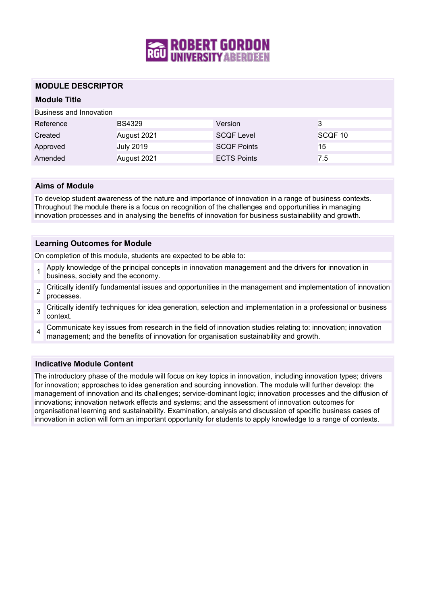

# **MODULE DESCRIPTOR**

# **Module Title**

Business and Innovation

| Reference | <b>BS4329</b>    | Version            | 3       |
|-----------|------------------|--------------------|---------|
| Created   | August 2021      | <b>SCQF Level</b>  | SCQF 10 |
| Approved  | <b>July 2019</b> | SCQF Points        | 15      |
| Amended   | August 2021      | <b>ECTS Points</b> | 7.5     |

### **Aims of Module**

To develop student awareness of the nature and importance of innovation in a range of business contexts. Throughout the module there is a focus on recognition of the challenges and opportunities in managing innovation processes and in analysing the benefits of innovation for business sustainability and growth.

### **Learning Outcomes for Module**

On completion of this module, students are expected to be able to:

- 1 Apply knowledge of the principal concepts in innovation management and the drivers for innovation in business, society and the economy.
- 2 Critically identify fundamental issues and opportunities in the management and implementation of innovation processes.
- 3 Critically identify techniques for idea generation, selection and implementation in a professional or business context.
- 4 Communicate key issues from research in the field of innovation studies relating to: innovation; innovation management; and the benefits of innovation for organisation sustainability and growth.

# **Indicative Module Content**

The introductory phase of the module will focus on key topics in innovation, including innovation types; drivers for innovation; approaches to idea generation and sourcing innovation. The module will further develop: the management of innovation and its challenges; service-dominant logic; innovation processes and the diffusion of innovations; innovation network effects and systems; and the assessment of innovation outcomes for organisational learning and sustainability. Examination, analysis and discussion of specific business cases of innovation in action will form an important opportunity for students to apply knowledge to a range of contexts.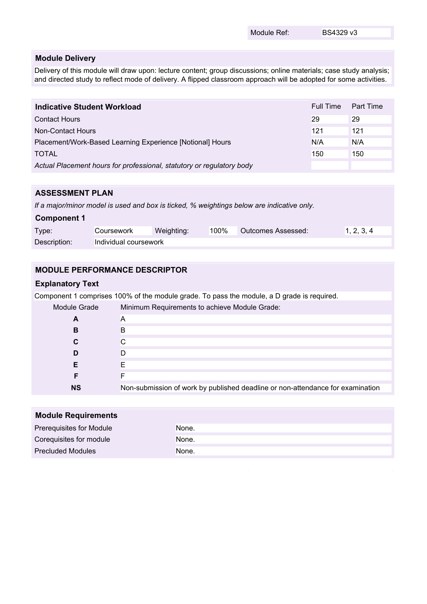Module Ref: BS4329 v3

### **Module Delivery**

Delivery of this module will draw upon: lecture content; group discussions; online materials; case study analysis; and directed study to reflect mode of delivery. A flipped classroom approach will be adopted for some activities.

| <b>Indicative Student Workload</b>                                    | Full Time | Part Time |
|-----------------------------------------------------------------------|-----------|-----------|
| <b>Contact Hours</b>                                                  | 29        | 29        |
| Non-Contact Hours                                                     | 121       | 121       |
| Placement/Work-Based Learning Experience [Notional] Hours             |           | N/A       |
| <b>TOTAL</b>                                                          | 150       | 150       |
| Actual Placement hours for professional, statutory or regulatory body |           |           |

# **ASSESSMENT PLAN**

*If a major/minor model is used and box is ticked, % weightings below are indicative only.*

# **Component 1** Type: Coursework Weighting: 100% Outcomes Assessed: 1, 2, 3, 4 Description: Individual coursework

# **MODULE PERFORMANCE DESCRIPTOR**

### **Explanatory Text**

Component 1 comprises 100% of the module grade. To pass the module, a D grade is required.

| Module Grade | Minimum Requirements to achieve Module Grade:                                  |  |
|--------------|--------------------------------------------------------------------------------|--|
| A            | A                                                                              |  |
| в            | B                                                                              |  |
| C            |                                                                                |  |
| D            |                                                                                |  |
| Е            |                                                                                |  |
|              |                                                                                |  |
| <b>NS</b>    | Non-submission of work by published deadline or non-attendance for examination |  |

| <b>Module Requirements</b> |       |
|----------------------------|-------|
| Prerequisites for Module   | None. |
| Corequisites for module    | None. |
| <b>Precluded Modules</b>   | None. |